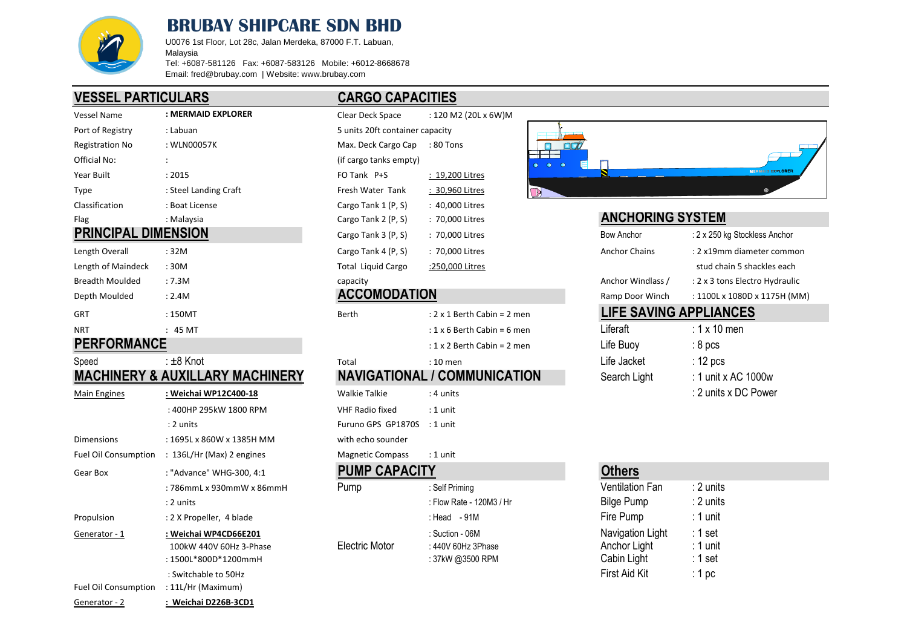

# **BRUBAY SHIPCARE SDN BHD**

U0076 1st Floor, Lot 28c, Jalan Merdeka, 87000 F.T. Labuan, Malaysia Tel: +6087-581126 Fax: +6087-583126 Mobile: +6012-8668678

Email: fred@brubay.com | Website: www.brubay.com

# **VESSEL PARTICULARS CARGO CAPACITIES**

| Vessel Name                | : MERMAID EXPLORER    | Clear Deck Space                | : 120 M2 (20L x 6W)M |                                    |                         |                               |
|----------------------------|-----------------------|---------------------------------|----------------------|------------------------------------|-------------------------|-------------------------------|
| Port of Registry           | : Labuan              | 5 units 20ft container capacity |                      |                                    |                         |                               |
| <b>Registration No</b>     | : WLN00057K           | Max. Deck Cargo Cap             | : 80 Tons            | $\square \boldsymbol{\mathcal{D}}$ |                         |                               |
| Official No:               |                       | (if cargo tanks empty)          |                      | $\bullet$ $\bullet$<br>$\bullet$   |                         |                               |
| Year Built                 | : 2015                | FO Tank P+S                     | : 19,200 Litres      |                                    |                         | <b>MERMAID EXPLORER</b>       |
| Type                       | : Steel Landing Craft | Fresh Water Tank                | : 30,960 Litres      | $\Box$                             |                         |                               |
| Classification             | : Boat License        | Cargo Tank 1 (P, S)             | : 40,000 Litres      |                                    |                         |                               |
| Flag                       | : Malaysia            | Cargo Tank 2 (P, S)             | : 70,000 Litres      |                                    | <b>ANCHORING SYSTEM</b> |                               |
| <b>PRINCIPAL DIMENSION</b> |                       | Cargo Tank 3 (P, S)             | : 70,000 Litres      |                                    | Bow Anchor              | : 2 x 250 kg Stockless Anchor |
| Length Overall             | : 32M                 | Cargo Tank 4 (P, S)             | : 70,000 Litres      |                                    | <b>Anchor Chains</b>    | : 2 x19mm diameter comm       |
| Length of Maindeck         | : 30M                 | Total Liquid Cargo              | :250,000 Litres      |                                    |                         | stud chain 5 shackles eacl    |
| <b>Breadth Moulded</b>     | :7.3M                 | capacity                        |                      |                                    | Anchor Windlass /       | : 2 x 3 tons Electro Hydrau   |

| -------------          |         |                     |                                    |                               |                    |
|------------------------|---------|---------------------|------------------------------------|-------------------------------|--------------------|
| <b>NRT</b>             | 45 MT   |                     | : $1 \times 6$ Berth Cabin = 6 men | ∟iferaft                      | : 1 x 10 men       |
| GRT                    | :150MT  | Berth               | $: 2 \times 1$ Berth Cabin = 2 men | <b>LIFE SAVING APPLIANCES</b> |                    |
| Depth Moulded          | : 2.4M  | <b>ACCOMODATION</b> |                                    | Ramp Door Winch               | : 1100L x 1080D    |
| <b>Breadth Moulded</b> | : 7.3M  | capacitv            |                                    | Anchor Windlass /             | : 2 x 3 tons Elect |
| Length of Mamdeck      | . SUIVI | Total Liguid Cargo  | ELSO, UUU LIITES                   |                               | stud chain 5 sh    |

## **PERFORMANCE**

### Speed : ±8 Knot Total : 10 men Life Jacket : 12 pcs **MACHINERY & AUXILLARY MACHINERY NAVIGATIONAL / COMMUNICATION**

| <b>Main Engines</b>         | : Weichai WP12C400-18                                                    | <b>Walkie Talkie</b>    | : 4 units                                                   |                                                 | : 2 units x DC Power                       |
|-----------------------------|--------------------------------------------------------------------------|-------------------------|-------------------------------------------------------------|-------------------------------------------------|--------------------------------------------|
|                             | : 400HP 295kW 1800 RPM                                                   | <b>VHF Radio fixed</b>  | : 1 unit                                                    |                                                 |                                            |
|                             | $: 2$ units                                                              | Furuno GPS GP1870S      | : 1 unit                                                    |                                                 |                                            |
| <b>Dimensions</b>           | : 1695L x 860W x 1385H MM                                                | with echo sounder       |                                                             |                                                 |                                            |
| <b>Fuel Oil Consumption</b> | $: 136L/Hr$ (Max) 2 engines                                              | <b>Magnetic Compass</b> | : 1 unit                                                    |                                                 |                                            |
| Gear Box                    | : "Advance" WHG-300, 4:1                                                 | <b>PUMP CAPACITY</b>    |                                                             | <b>Others</b>                                   |                                            |
|                             | : 786mmL x 930mmW x 86mmH                                                | Pump                    | : Self Priming                                              | <b>Ventilation Fan</b>                          | : 2 units                                  |
|                             | $: 2$ units                                                              |                         | : Flow Rate - 120M3 / Hr                                    | <b>Bilge Pump</b>                               | :2 units                                   |
| Propulsion                  | : 2 X Propeller, 4 blade                                                 |                         | : Head $-91M$                                               | Fire Pump                                       | $: 1$ unit                                 |
| Generator - 1               | : Weichai WP4CD66E201<br>100kW 440V 60Hz 3-Phase<br>: 1500L*800D*1200mmH | Electric Motor          | : Suction - 06M<br>: $440V$ 60Hz 3Phase<br>: 37kW @3500 RPM | Navigation Light<br>Anchor Light<br>Cabin Light | ∶1 set<br>$\therefore$ 1 unit<br>$: 1$ set |
| <b>Fuel Oil Consumption</b> | : Switchable to 50Hz<br>: 11L/Hr (Maximum)                               |                         |                                                             | First Aid Kit                                   | : 1 $pc$                                   |
| Generator - 2               | : Weichai D226B-3CD1                                                     |                         |                                                             |                                                 |                                            |

| Clear Deck Space                | : 120 M2 (20L x 6W)M |  |  |  |
|---------------------------------|----------------------|--|--|--|
| 5 units 20ft container capacity |                      |  |  |  |
| Max. Deck Cargo Cap             | $:80$ Tons           |  |  |  |
| (if cargo tanks empty)          |                      |  |  |  |
| FO Tank P+S                     | : 19,200 Litres      |  |  |  |
| Fresh Water Tank                | : 30,960 Litres      |  |  |  |
| Cargo Tank 1 (P, S)             | : 40,000 Litres      |  |  |  |
| Cargo Tank 2 (P, S)             | : 70,000 Litres      |  |  |  |
| Cargo Tank 3 (P, S)             | : 70,000 Litres      |  |  |  |
| Cargo Tank 4 (P, S)             | : 70,000 Litres      |  |  |  |
| <b>Total Liquid Cargo</b>       | :250,000 Litres      |  |  |  |

|  | ACCOMODATION |  |
|--|--------------|--|
|  |              |  |

| GRT                | 150MT   | Berth | $: 2 \times 1$ Berth Cabin = 2 men   |             | LIFE SAVING APPLIANGE |
|--------------------|---------|-------|--------------------------------------|-------------|-----------------------|
| <b>NRT</b>         | 45 MT   |       | $: 1 \times 6$ Berth Cabin = 6 men   | Liferaft    | $\div$ 1 x 10 men     |
| <b>PERFORMANCE</b> |         |       | : $1 \times 2$ Berth Cabin = $2$ men | Life Buoy   | $\cdot$ 8 pcs         |
| Sneed              | ±8 Knot | Total | 10 men                               | Lite Jacket | : 12 $pcs$            |

| : Weichai WP12C400-18     | <b>Walkie Talkie</b>        | : 4 units |
|---------------------------|-----------------------------|-----------|
| : 400HP 295kW 1800 RPM    | VHF Radio fixed             | : 1 unit  |
| $: 2$ units               | Furuno GPS GP1870S : 1 unit |           |
| : 1695L x 860W x 1385H MM | with echo sounder           |           |
| : 136L/Hr (Max) 2 engines | <b>Magnetic Compass</b>     | : 1 unit  |

| Pump           | : Self Priming           | <b>Ventilation Fan</b> | ∶2 units   |
|----------------|--------------------------|------------------------|------------|
|                | : Flow Rate - 120M3 / Hr | Bilge Pump             | ∶2 units   |
|                | : Head $-91M$            | Fire Pump              | $: 1$ unit |
|                | : Suction - 06M          | Navigation Light       | :1 set     |
| Electric Motor | : 440V 60Hz 3Phase       | Anchor Light           | $: 1$ unit |
|                | : 37kW @3500 RPM         | Cabin Light            | ∶1 set     |
|                |                          |                        |            |

### $\Box$  $\bullet$ г  $\bullet$  $\overline{\Omega}$  $^{\circ}$

## **ANCHORING SYSTEM**

| <b>PRINCIPAL DIMENSION</b> |                                            | Cargo Tank 3 (P, S)             | : 70,000 Litres                      | <b>Bow Anchor</b>             | : 2 x 250 kg Stockless Anchor  |
|----------------------------|--------------------------------------------|---------------------------------|--------------------------------------|-------------------------------|--------------------------------|
| Length Overall             | :32M                                       | Cargo Tank 4 (P, S)             | : 70,000 Litres                      | <b>Anchor Chains</b>          | : 2 x19mm diameter common      |
| Length of Maindeck         | :30M                                       | Total Liquid Cargo              | :250,000 Litres                      |                               | stud chain 5 shackles each     |
| <b>Breadth Moulded</b>     | :7.3M                                      | capacity                        |                                      | Anchor Windlass /             | : 2 x 3 tons Electro Hydraulic |
| Depth Moulded              | : 2.4M                                     | <b>ACCOMODATION</b>             |                                      | Ramp Door Winch               | : 1100L x 1080D x 1175H (MM)   |
| GRT                        | :150MT                                     | Berth                           | : $2 \times 1$ Berth Cabin = $2$ men | <b>LIFE SAVING APPLIANCES</b> |                                |
| <b>NRT</b>                 | $: 45 \text{ MT}$                          |                                 | : $1 \times 6$ Berth Cabin = 6 men   | Liferaft                      | : 1 x 10 men                   |
| <b>PERFORMANCE</b>         |                                            |                                 | : $1 \times 2$ Berth Cabin = $2$ men | Life Buoy                     | $:8$ pcs                       |
| Speed                      | ∶±8 Knot                                   | Total                           | $: 10$ men                           | Life Jacket                   | $: 12$ pcs                     |
|                            | <b>MACHINERY &amp; AUXILLARY MACHINERY</b> |                                 | NAVIGATIONAL / COMMUNICATION         | Search Light                  | : 1 unit x AC 1000w            |
| $M = in Example$           |                                            | $M_{\alpha}$ lla Talla $\alpha$ |                                      |                               | . 2 unite y DC Dower           |

| <b>Others</b>    |           |
|------------------|-----------|
| entilation Fan   | : 2 units |
| ilge Pump        | : 2 units |
| ire Pump         | : 1 unit  |
| lavigation Light | $: 1$ set |
| nchor Light      | : 1 unit  |
| abin Light       | $: 1$ set |
| irst Aid Kit     | : 1 pc    |
|                  |           |